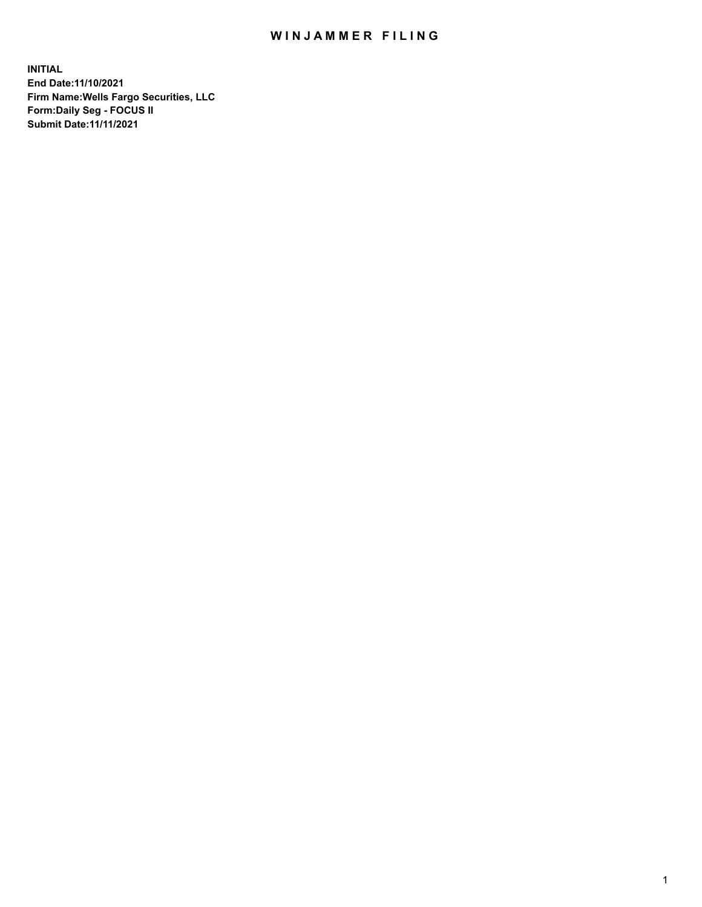## WIN JAMMER FILING

**INITIAL End Date:11/10/2021 Firm Name:Wells Fargo Securities, LLC Form:Daily Seg - FOCUS II Submit Date:11/11/2021**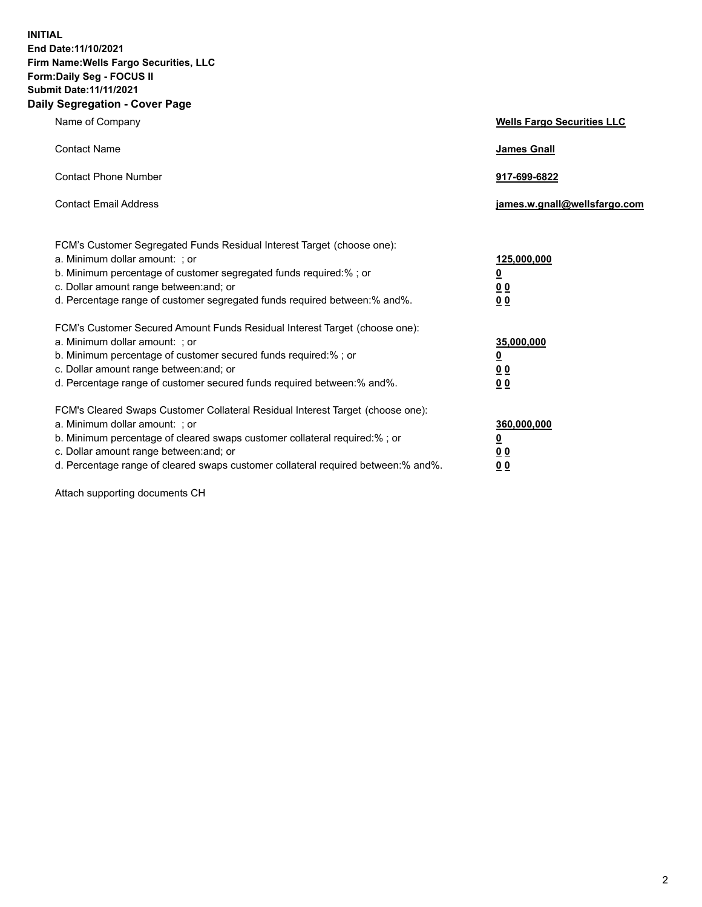**INITIAL End Date:11/10/2021 Firm Name:Wells Fargo Securities, LLC Form:Daily Seg - FOCUS II Submit Date:11/11/2021 Daily Segregation - Cover Page**

| Name of Company                                                                                                                                                                                                                                                                                                                | <b>Wells Fargo Securities LLC</b>                           |
|--------------------------------------------------------------------------------------------------------------------------------------------------------------------------------------------------------------------------------------------------------------------------------------------------------------------------------|-------------------------------------------------------------|
| <b>Contact Name</b>                                                                                                                                                                                                                                                                                                            | <b>James Gnall</b>                                          |
| <b>Contact Phone Number</b>                                                                                                                                                                                                                                                                                                    | 917-699-6822                                                |
| <b>Contact Email Address</b>                                                                                                                                                                                                                                                                                                   | james.w.gnall@wellsfargo.com                                |
| FCM's Customer Segregated Funds Residual Interest Target (choose one):<br>a. Minimum dollar amount: ; or<br>b. Minimum percentage of customer segregated funds required:% ; or<br>c. Dollar amount range between: and; or<br>d. Percentage range of customer segregated funds required between: % and %.                       | 125,000,000<br><u>0</u><br>0 <sub>0</sub><br>0 <sub>0</sub> |
| FCM's Customer Secured Amount Funds Residual Interest Target (choose one):<br>a. Minimum dollar amount: ; or<br>b. Minimum percentage of customer secured funds required:%; or<br>c. Dollar amount range between: and; or<br>d. Percentage range of customer secured funds required between: % and %.                          | 35,000,000<br><u>0</u><br>00<br>0 <sub>0</sub>              |
| FCM's Cleared Swaps Customer Collateral Residual Interest Target (choose one):<br>a. Minimum dollar amount: ; or<br>b. Minimum percentage of cleared swaps customer collateral required:% ; or<br>c. Dollar amount range between: and; or<br>d. Percentage range of cleared swaps customer collateral required between:% and%. | 360,000,000<br><u>0</u><br>00<br>00                         |

Attach supporting documents CH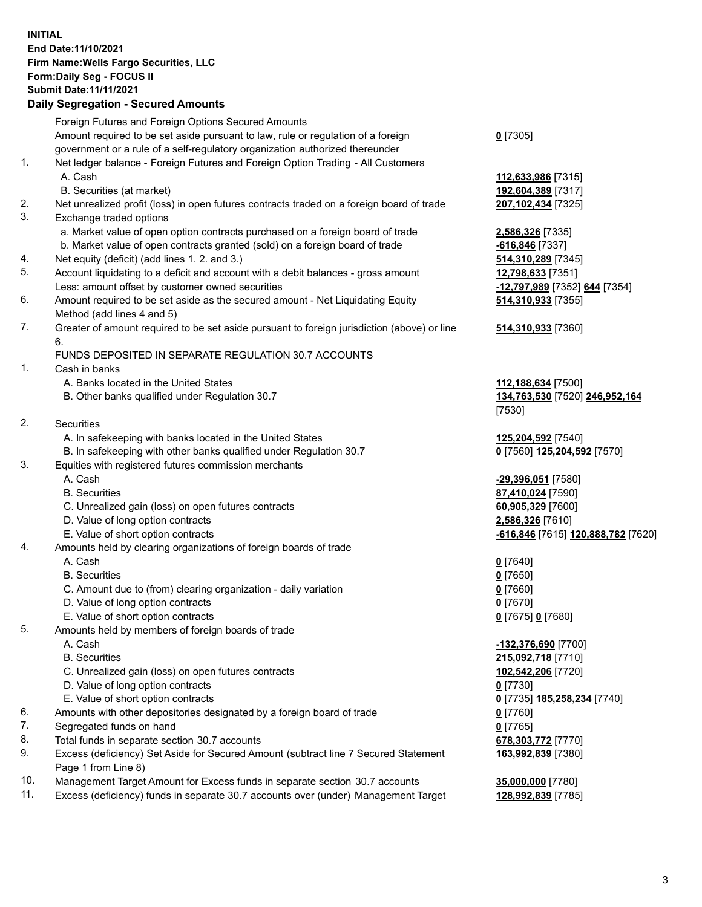## **INITIAL End Date:11/10/2021 Firm Name:Wells Fargo Securities, LLC Form:Daily Seg - FOCUS II Submit Date:11/11/2021**

## **Daily Segregation - Secured Amounts**

|    | Foreign Futures and Foreign Options Secured Amounts                                                        |                                    |
|----|------------------------------------------------------------------------------------------------------------|------------------------------------|
|    | Amount required to be set aside pursuant to law, rule or regulation of a foreign                           | $0$ [7305]                         |
|    | government or a rule of a self-regulatory organization authorized thereunder                               |                                    |
| 1. | Net ledger balance - Foreign Futures and Foreign Option Trading - All Customers                            |                                    |
|    | A. Cash                                                                                                    | 112,633,986 [7315]                 |
|    | B. Securities (at market)                                                                                  | 192,604,389 [7317]                 |
| 2. | Net unrealized profit (loss) in open futures contracts traded on a foreign board of trade                  | 207,102,434 [7325]                 |
| 3. | Exchange traded options                                                                                    |                                    |
|    | a. Market value of open option contracts purchased on a foreign board of trade                             | 2,586,326 [7335]                   |
|    | b. Market value of open contracts granted (sold) on a foreign board of trade                               | $-616,846$ [7337]                  |
| 4. | Net equity (deficit) (add lines 1. 2. and 3.)                                                              | 514,310,289 [7345]                 |
| 5. | Account liquidating to a deficit and account with a debit balances - gross amount                          | 12,798,633 [7351]                  |
|    | Less: amount offset by customer owned securities                                                           | -12,797,989 [7352] 644 [7354]      |
| 6. | Amount required to be set aside as the secured amount - Net Liquidating Equity                             | 514,310,933 [7355]                 |
|    | Method (add lines 4 and 5)                                                                                 |                                    |
| 7. | Greater of amount required to be set aside pursuant to foreign jurisdiction (above) or line                | 514,310,933 [7360]                 |
|    | 6.                                                                                                         |                                    |
|    | FUNDS DEPOSITED IN SEPARATE REGULATION 30.7 ACCOUNTS                                                       |                                    |
| 1. | Cash in banks                                                                                              |                                    |
|    | A. Banks located in the United States                                                                      | 112,188,634 [7500]                 |
|    | B. Other banks qualified under Regulation 30.7                                                             | 134,763,530 [7520] 246,952,164     |
|    |                                                                                                            | [7530]                             |
| 2. | Securities                                                                                                 |                                    |
|    | A. In safekeeping with banks located in the United States                                                  | 125,204,592 [7540]                 |
|    | B. In safekeeping with other banks qualified under Regulation 30.7                                         | 0 [7560] 125,204,592 [7570]        |
| 3. | Equities with registered futures commission merchants                                                      |                                    |
|    | A. Cash                                                                                                    | -29,396,051 [7580]                 |
|    | <b>B.</b> Securities                                                                                       | 87,410,024 [7590]                  |
|    | C. Unrealized gain (loss) on open futures contracts                                                        | 60,905,329 [7600]                  |
|    | D. Value of long option contracts                                                                          | 2,586,326 [7610]                   |
|    | E. Value of short option contracts                                                                         | -616,846 [7615] 120,888,782 [7620] |
| 4. | Amounts held by clearing organizations of foreign boards of trade                                          |                                    |
|    | A. Cash                                                                                                    | $0$ [7640]                         |
|    | <b>B.</b> Securities                                                                                       | $0$ [7650]                         |
|    | C. Amount due to (from) clearing organization - daily variation                                            | $0$ [7660]                         |
|    | D. Value of long option contracts                                                                          | $0$ [7670]                         |
|    | E. Value of short option contracts                                                                         | 0 [7675] 0 [7680]                  |
| 5. | Amounts held by members of foreign boards of trade                                                         |                                    |
|    | A. Cash                                                                                                    | -132,376,690 [7700]                |
|    | <b>B.</b> Securities                                                                                       | 215,092,718 [7710]                 |
|    | C. Unrealized gain (loss) on open futures contracts                                                        | 102,542,206 [7720]                 |
|    | D. Value of long option contracts                                                                          | $0$ [7730]                         |
|    | E. Value of short option contracts                                                                         | 0 [7735] 185,258,234 [7740]        |
| 6. | Amounts with other depositories designated by a foreign board of trade                                     | 0 [7760]                           |
| 7. | Segregated funds on hand                                                                                   | $0$ [7765]                         |
| 8. | Total funds in separate section 30.7 accounts                                                              | 678,303,772 [7770]                 |
| 9. | Excess (deficiency) Set Aside for Secured Amount (subtract line 7 Secured Statement<br>Page 1 from Line 8) | 163,992,839 [7380]                 |

- 10. Management Target Amount for Excess funds in separate section 30.7 accounts **35,000,000** [7780]
- 11. Excess (deficiency) funds in separate 30.7 accounts over (under) Management Target **128,992,839** [7785]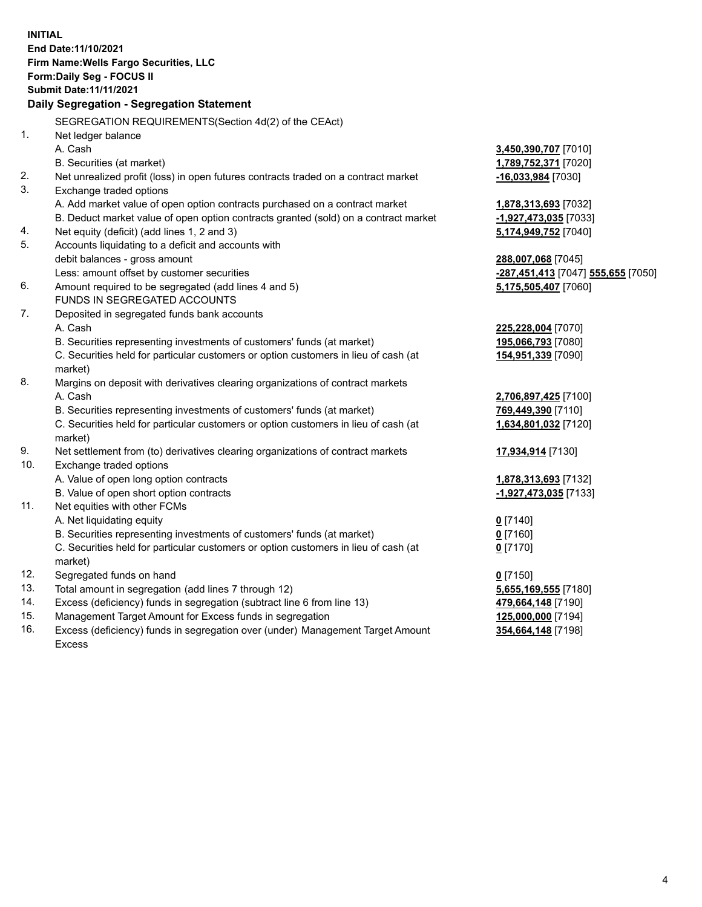**INITIAL End Date:11/10/2021 Firm Name:Wells Fargo Securities, LLC Form:Daily Seg - FOCUS II Submit Date:11/11/2021 Daily Segregation - Segregation Statement** SEGREGATION REQUIREMENTS(Section 4d(2) of the CEAct) 1. Net ledger balance A. Cash **3,450,390,707** [7010] B. Securities (at market) **1,789,752,371** [7020] 2. Net unrealized profit (loss) in open futures contracts traded on a contract market **-16,033,984** [7030] 3. Exchange traded options A. Add market value of open option contracts purchased on a contract market **1,878,313,693** [7032] B. Deduct market value of open option contracts granted (sold) on a contract market **-1,927,473,035** [7033] 4. Net equity (deficit) (add lines 1, 2 and 3) **5,174,949,752** [7040] 5. Accounts liquidating to a deficit and accounts with debit balances - gross amount **288,007,068** [7045] Less: amount offset by customer securities **-287,451,413** [7047] **555,655** [7050] 6. Amount required to be segregated (add lines 4 and 5) **5,175,505,407** [7060] FUNDS IN SEGREGATED ACCOUNTS 7. Deposited in segregated funds bank accounts A. Cash **225,228,004** [7070] B. Securities representing investments of customers' funds (at market) **195,066,793** [7080] C. Securities held for particular customers or option customers in lieu of cash (at market) **154,951,339** [7090] 8. Margins on deposit with derivatives clearing organizations of contract markets A. Cash **2,706,897,425** [7100] B. Securities representing investments of customers' funds (at market) **769,449,390** [7110] C. Securities held for particular customers or option customers in lieu of cash (at market) **1,634,801,032** [7120] 9. Net settlement from (to) derivatives clearing organizations of contract markets **17,934,914** [7130] 10. Exchange traded options A. Value of open long option contracts **1,878,313,693** [7132] B. Value of open short option contracts **-1,927,473,035** [7133] 11. Net equities with other FCMs A. Net liquidating equity **0** [7140] B. Securities representing investments of customers' funds (at market) **0** [7160] C. Securities held for particular customers or option customers in lieu of cash (at market) **0** [7170] 12. Segregated funds on hand **0** [7150] 13. Total amount in segregation (add lines 7 through 12) **5,655,169,555** [7180] 14. Excess (deficiency) funds in segregation (subtract line 6 from line 13) **479,664,148** [7190] 15. Management Target Amount for Excess funds in segregation **125,000,000** [7194] 16. Excess (deficiency) funds in segregation over (under) Management Target Amount **354,664,148** [7198]

Excess